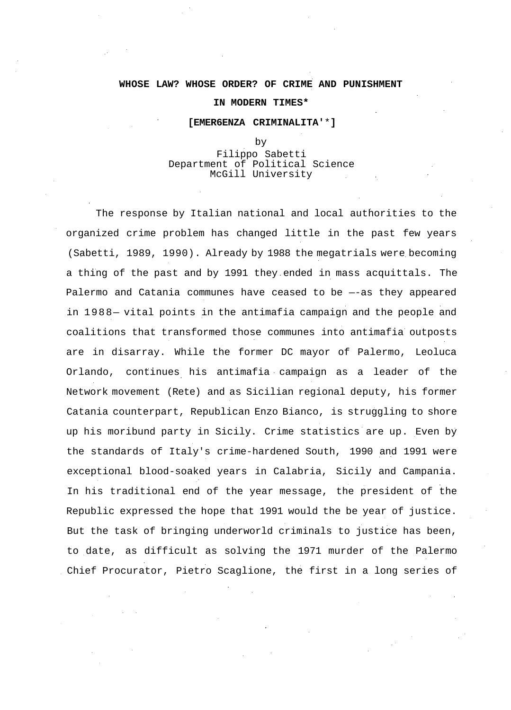### **WHOSE LAW? WHOSE ORDER? OF CRIME AND PUNISHMENT**

### **IN MODERN TIMES\***

### **[EMER6ENZA CRIMINALITA'**\***]**

#### by

## Filippo Sabetti Department of Political Science McGill University

The response by Italian national and local authorities to the organized crime problem has changed little in the past few years (Sabetti, 1989, 1990). Already by 1988 the megatrials were becoming a thing of the past and by 1991 they ended in mass acquittals. The Palermo and Catania communes have ceased to be —-as they appeared in 1988— vital points in the antimafia campaign and the people and coalitions that transformed those communes into antimafia outposts are in disarray. While the former DC mayor of Palermo, Leoluca Orlando, continues his antimafia campaign as a leader of the Network movement (Rete) and as Sicilian regional deputy, his former Catania counterpart, Republican Enzo Bianco, is struggling to shore up his moribund party in Sicily. Crime statistics are up. Even by the standards of Italy's crime-hardened South, 1990 and 1991 were exceptional blood-soaked years in Calabria, Sicily and Campania. In his traditional end of the year message, the president of the Republic expressed the hope that 1991 would the be year of justice. But the task of bringing underworld criminals to justice has been, to date, as difficult as solving the 1971 murder of the Palermo Chief Procurator, Pietro Scaglione, the first in a long series of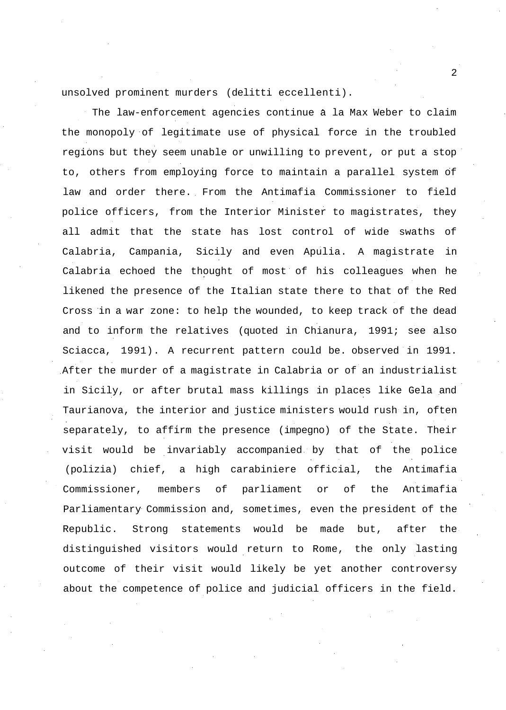unsolved prominent murders (delitti eccellenti).

The law-enforcement agencies continue à la Max Weber to claim the monopoly of legitimate use of physical force in the troubled regions but they seem unable or unwilling to prevent, or put a stop to, others from employing force to maintain a parallel system of law and order there. From the Antimafia Commissioner to field police officers, from the Interior Minister to magistrates, they all admit that the state has lost control of wide swaths of Calabria, Campania, Sicily and even Apulia. A magistrate in Calabria echoed the thought of most of his colleagues when he likened the presence of the Italian state there to that of the Red Cross in a war zone: to help the wounded, to keep track of the dead and to inform the relatives (quoted in Chianura, 1991; see also Sciacca, 1991). A recurrent pattern could be. observed in 1991. After the murder of a magistrate in Calabria or of an industrialist in Sicily, or after brutal mass killings in places like Gela and Taurianova, the interior and justice ministers would rush in, often separately, to affirm the presence (impegno) of the State. Their visit would be invariably accompanied by that of the police (polizia) chief, a high carabiniere official, the Antimafia Commissioner, members of parliament or of the Antimafia Parliamentary Commission and, sometimes, even the president of the Republic. Strong statements would be made but, after the distinguished visitors would return to Rome, the only lasting outcome of their visit would likely be yet another controversy about the competence of police and judicial officers in the field.

 $\overline{a}$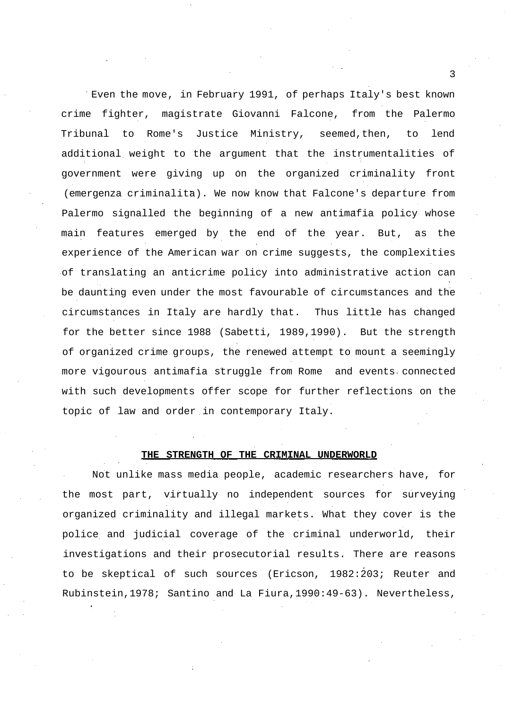Even the move, in February 1991, of perhaps Italy's best known crime fighter, magistrate Giovanni Falcone, from the Palermo Tribunal to Rome's Justice Ministry, seemed,then, to lend additional weight to the argument that the instrumentalities of government were giving up on the organized criminality front (emergenza criminalita). We now know that Falcone's departure from Palermo signalled the beginning of a new antimafia policy whose main features emerged by the end of the year. But, as the experience of the American war on crime suggests, the complexities of translating an anticrime policy into administrative action can be daunting even under the most favourable of circumstances and the circumstances in Italy are hardly that. Thus little has changed for the better since 1988 (Sabetti, 1989,1990). But the strength of organized crime groups, the renewed attempt to mount a seemingly more vigourous antimafia struggle from Rome and events connected with such developments offer scope for further reflections on the topic of law and order in contemporary Italy.

### **THE STRENGTH OF THE CRIMINAL UNDERWORLD**

Not unlike mass media people, academic researchers have, for the most part, virtually no independent sources for surveying organized criminality and illegal markets. What they cover is the police and judicial coverage of the criminal underworld, their investigations and their prosecutorial results. There are reasons to be skeptical of such sources (Ericson, 1982:203; Reuter and Rubinstein,1978; Santino and La Fiura,1990:49-63). Nevertheless,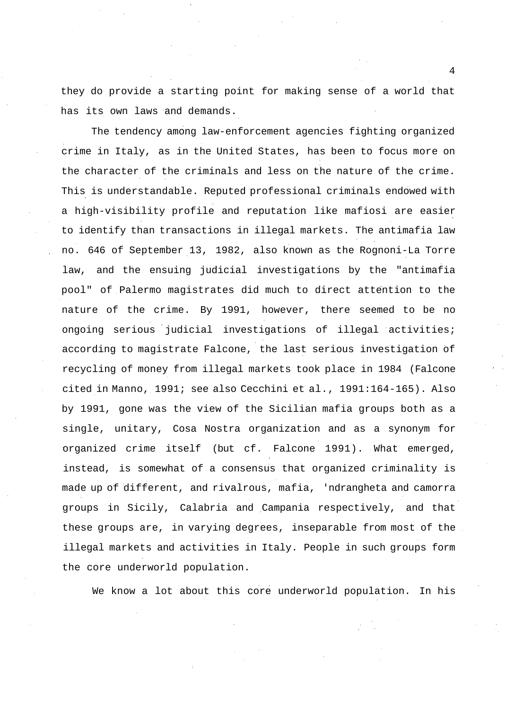they do provide a starting point for making sense of a world that has its own laws and demands.

The tendency among law-enforcement agencies fighting organized crime in Italy, as in the United States, has been to focus more on the character of the criminals and less on the nature of the crime. This is understandable. Reputed professional criminals endowed with a high-visibility profile and reputation like mafiosi are easier to identify than transactions in illegal markets. The antimafia law no. 646 of September 13, 1982, also known as the Rognoni-La Torre law, and the ensuing judicial investigations by the "antimafia pool" of Palermo magistrates did much to direct attention to the nature of the crime. By 1991, however, there seemed to be no ongoing serious judicial investigations of illegal activities; according to magistrate Falcone, the last serious investigation of recycling of money from illegal markets took place in 1984 (Falcone cited in Manno, 1991; see also Cecchini et al., 1991:164-165). Also by 1991, gone was the view of the Sicilian mafia groups both as a single, unitary, Cosa Nostra organization and as a synonym for organized crime itself (but cf. Falcone 1991). What emerged, instead, is somewhat of a consensus that organized criminality is made up of different, and rivalrous, mafia, 'ndrangheta and camorra groups in Sicily, Calabria and Campania respectively, and that these groups are, in varying degrees, inseparable from most of the illegal markets and activities in Italy. People in such groups form the core underworld population.

We know a lot about this core underworld population. In his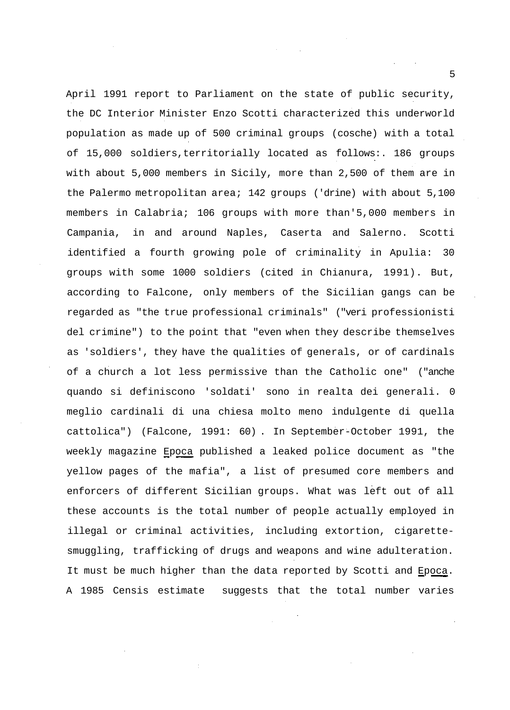April 1991 report to Parliament on the state of public security, the DC Interior Minister Enzo Scotti characterized this underworld population as made up of 500 criminal groups (cosche) with a total of 15,000 soldiers,territorially located as follows:. 186 groups with about 5,000 members in Sicily, more than 2,500 of them are in the Palermo metropolitan area; 142 groups ('drine) with about 5,100 members in Calabria; 106 groups with more than'5,000 members in Campania, in and around Naples, Caserta and Salerno. Scotti identified a fourth growing pole of criminality in Apulia: 30 groups with some 1000 soldiers (cited in Chianura, 1991). But, according to Falcone, only members of the Sicilian gangs can be regarded as "the true professional criminals" ("veri professionisti del crimine") to the point that "even when they describe themselves as 'soldiers', they have the qualities of generals, or of cardinals of a church a lot less permissive than the Catholic one" ("anche quando si definiscono 'soldati' sono in realta dei generali. 0 meglio cardinali di una chiesa molto meno indulgente di quella cattolica") (Falcone, 1991: 60) . In September-October 1991, the weekly magazine Epoca published a leaked police document as "the yellow pages of the mafia", a list of presumed core members and enforcers of different Sicilian groups. What was left out of all these accounts is the total number of people actually employed in illegal or criminal activities, including extortion, cigarettesmuggling, trafficking of drugs and weapons and wine adulteration. It must be much higher than the data reported by Scotti and Epoca. A 1985 Censis estimate suggests that the total number varies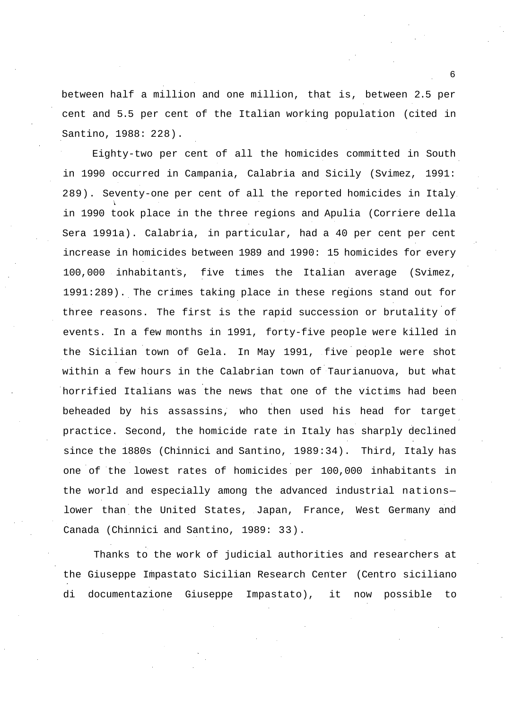between half a million and one million, that is, between 2.5 per cent and 5.5 per cent of the Italian working population (cited in Santino, 1988: 228).

Eighty-two per cent of all the homicides committed in South in 1990 occurred in Campania, Calabria and Sicily (Svimez, 1991: 289). Seventy-one per cent of all the reported homicides in Italy in 1990 took place in the three regions and Apulia (Corriere della Sera 1991a). Calabria, in particular, had a 40 per cent per cent increase in homicides between 1989 and 1990: 15 homicides for every 100,000 inhabitants, five times the Italian average (Svimez, 1991:289). The crimes taking place in these regions stand out for three reasons. The first is the rapid succession or brutality of events. In a few months in 1991, forty-five people were killed in the Sicilian town of Gela. In May 1991, five people were shot within a few hours in the Calabrian town of Taurianuova, but what horrified Italians was the news that one of the victims had been beheaded by his assassins, who then used his head for target practice. Second, the homicide rate in Italy has sharply declined since the 1880s (Chinnici and Santino, 1989:34). Third, Italy has one of the lowest rates of homicides per 100,000 inhabitants in the world and especially among the advanced industrial nations lower than the United States, Japan, France, West Germany and Canada (Chinnici and Santino, 1989: 33).

Thanks to the work of judicial authorities and researchers at the Giuseppe Impastato Sicilian Research Center (Centro siciliano di documentazione Giuseppe Impastato), it now possible to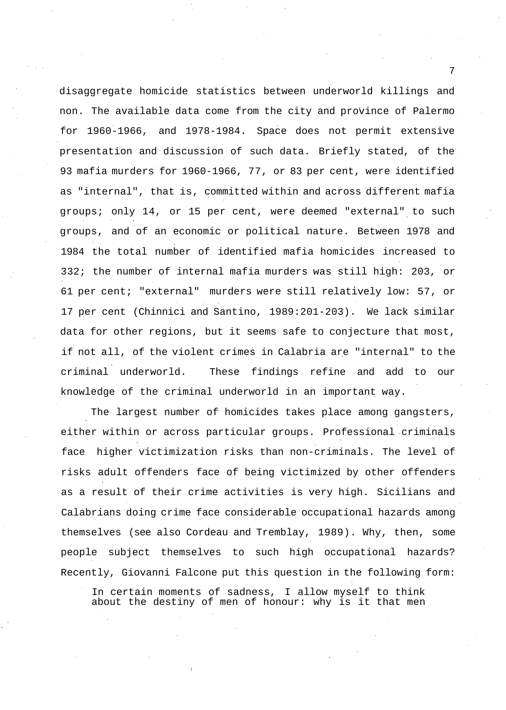disaggregate homicide statistics between underworld killings and non. The available data come from the city and province of Palermo for 1960-1966, and 1978-1984. Space does not permit extensive presentation and discussion of such data. Briefly stated, of the 93 mafia murders for 1960-1966, 77, or 83 per cent, were identified as "internal", that is, committed within and across different mafia groups; only 14, or 15 per cent, were deemed "external" to such groups, and of an economic or political nature. Between 1978 and 1984 the total number of identified mafia homicides increased to 332; the number of internal mafia murders was still high: 203, or 61 per cent; "external" murders were still relatively low: 57, or 17 per cent (Chinnici and Santino, 1989:201-203). We lack similar data for other regions, but it seems safe to conjecture that most, if not all, of the violent crimes in Calabria are "internal" to the criminal underworld. These findings refine and add to our knowledge of the criminal underworld in an important way.

The largest number of homicides takes place among gangsters, either within or across particular groups. Professional criminals face higher victimization risks than non-criminals. The level of risks adult offenders face of being victimized by other offenders as a result of their crime activities is very high. Sicilians and Calabrians doing crime face considerable occupational hazards among themselves (see also Cordeau and Tremblay, 1989). Why, then, some people subject themselves to such high occupational hazards? Recently, Giovanni Falcone put this question in the following form:

In certain moments of sadness, I allow myself to think about the destiny of men of honour: why is it that men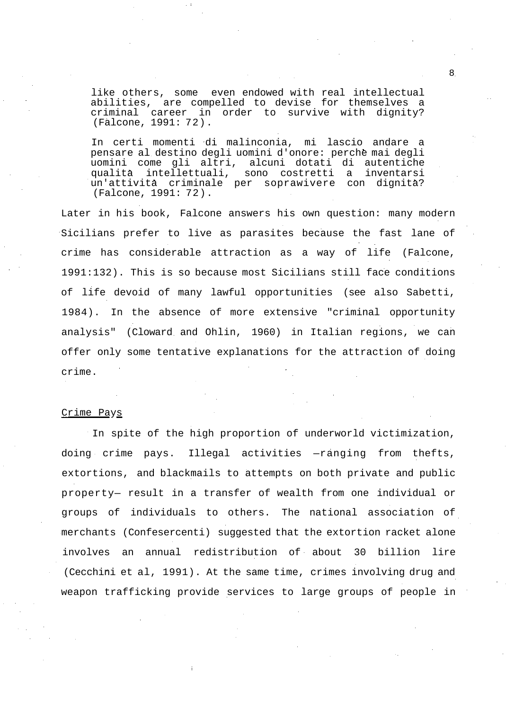like others, some even endowed with real intellectual abilities, are compelled to devise for themselves a criminal career in order to survive with dignity? (Falcone, 1991: 72).

In certi momenti di malinconia, mi lascio andare a pensare al destino degli uomini d'onore: perche mai degli uomini come gli altri, alcuni dotati di autentiche qualita intellettuali, sono costretti a inventarsi un'attivita criminale per soprawivere con dignita? (Falcone, 1991: 72).

Later in his book, Falcone answers his own question: many modern Sicilians prefer to live as parasites because the fast lane of crime has considerable attraction as a way of life (Falcone, 1991:132). This is so because most Sicilians still face conditions of life devoid of many lawful opportunities (see also Sabetti, 1984). In the absence of more extensive "criminal opportunity analysis" (Cloward and Ohlin, 1960) in Italian regions, we can offer only some tentative explanations for the attraction of doing crime.

### Crime Pays

In spite of the high proportion of underworld victimization, doing crime pays. Illegal activities —ranging from thefts, extortions, and blackmails to attempts on both private and public property— result in a transfer of wealth from one individual or groups of individuals to others. The national association of merchants (Confesercenti) suggested that the extortion racket alone involves an annual redistribution of about 30 billion lire (Cecchini et al, 1991). At the same time, crimes involving drug and weapon trafficking provide services to large groups of people in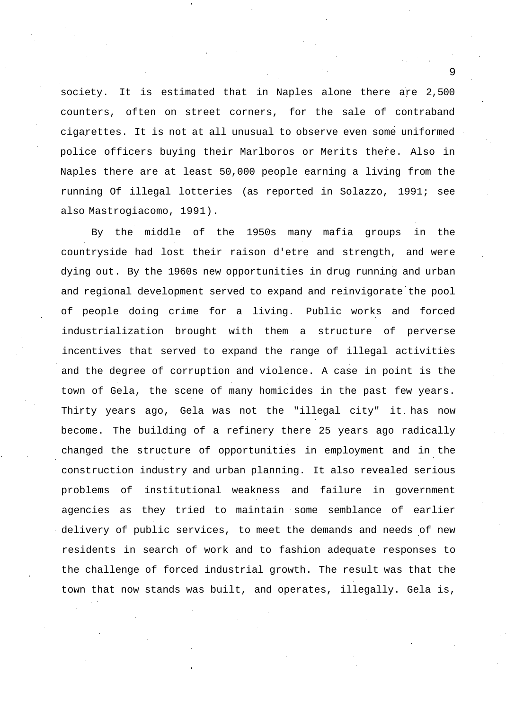society. It is estimated that in Naples alone there are 2,500 counters, often on street corners, for the sale of contraband cigarettes. It is not at all unusual to observe even some uniformed police officers buying their Marlboros or Merits there. Also in Naples there are at least 50,000 people earning a living from the running Of illegal lotteries (as reported in Solazzo, 1991; see also Mastrogiacomo, 1991).

By the middle of the 1950s many mafia groups in the countryside had lost their raison d'etre and strength, and were dying out. By the 1960s new opportunities in drug running and urban and regional development served to expand and reinvigorate the pool of people doing crime for a living. Public works and forced industrialization brought with them a structure of perverse incentives that served to expand the range of illegal activities and the degree of corruption and violence. A case in point is the town of Gela, the scene of many homicides in the past few years. Thirty years ago, Gela was not the "illegal city" it has now become. The building of a refinery there 25 years ago radically changed the structure of opportunities in employment and in the construction industry and urban planning. It also revealed serious problems of institutional weakness and failure in government agencies as they tried to maintain some semblance of earlier delivery of public services, to meet the demands and needs of new residents in search of work and to fashion adequate responses to the challenge of forced industrial growth. The result was that the town that now stands was built, and operates, illegally. Gela is,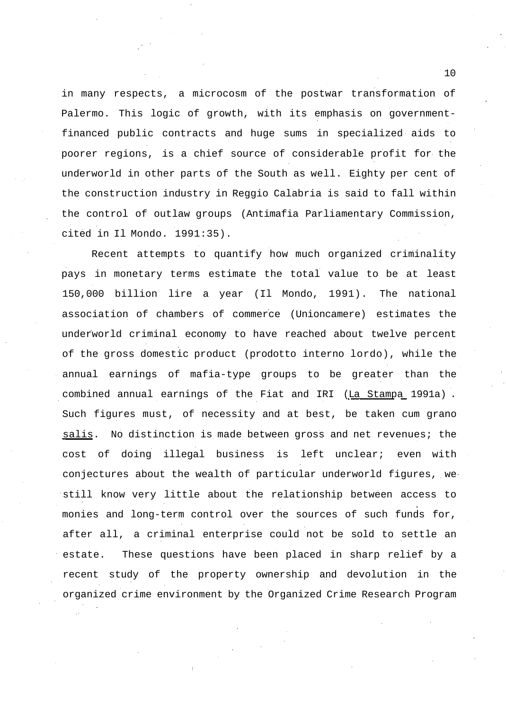in many respects, a microcosm of the postwar transformation of Palermo. This logic of growth, with its emphasis on governmentfinanced public contracts and huge sums in specialized aids to poorer regions, is a chief source of considerable profit for the underworld in other parts of the South as well. Eighty per cent of the construction industry in Reggio Calabria is said to fall within the control of outlaw groups (Antimafia Parliamentary Commission, cited in Il Mondo. 1991:35).

Recent attempts to quantify how much organized criminality pays in monetary terms estimate the total value to be at least 150,000 billion lire a year (Il Mondo, 1991). The national association of chambers of commerce (Unioncamere) estimates the underworld criminal economy to have reached about twelve percent of the gross domestic product (prodotto interno lordo), while the annual earnings of mafia-type groups to be greater than the combined annual earnings of the Fiat and IRI (La Stampa 1991a) . Such figures must, of necessity and at best, be taken cum grano salis. No distinction is made between gross and net revenues; the cost of doing illegal business is left unclear; even with conjectures about the wealth of particular underworld figures, we still know very little about the relationship between access to monies and long-term control over the sources of such funds for, after all, a criminal enterprise could not be sold to settle an estate. These questions have been placed in sharp relief by a recent study of the property ownership and devolution in the organized crime environment by the Organized Crime Research Program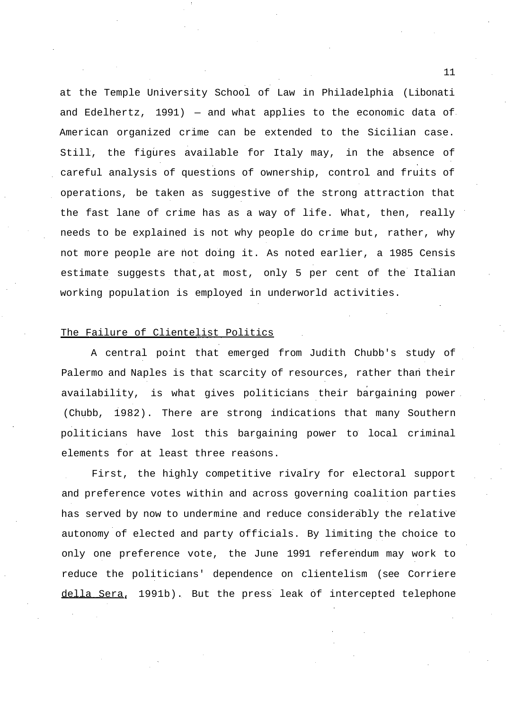at the Temple University School of Law in Philadelphia (Libonati and Edelhertz, 1991) — and what applies to the economic data of American organized crime can be extended to the Sicilian case. Still, the figures available for Italy may, in the absence of careful analysis of questions of ownership, control and fruits of operations, be taken as suggestive of the strong attraction that the fast lane of crime has as a way of life. What, then, really needs to be explained is not why people do crime but, rather, why not more people are not doing it. As noted earlier, a 1985 Censis estimate suggests that,at most, only 5 per cent of the Italian working population is employed in underworld activities.

## The Failure of Clientelist Politics

A central point that emerged from Judith Chubb's study of Palermo and Naples is that scarcity of resources, rather than their availability, is what gives politicians their bargaining power. (Chubb, 1982). There are strong indications that many Southern politicians have lost this bargaining power to local criminal elements for at least three reasons.

First, the highly competitive rivalry for electoral support and preference votes within and across governing coalition parties has served by now to undermine and reduce considerably the relative autonomy of elected and party officials. By limiting the choice to only one preference vote, the June 1991 referendum may work to reduce the politicians' dependence on clientelism (see Corriere della Sera, 1991b). But the press leak of intercepted telephone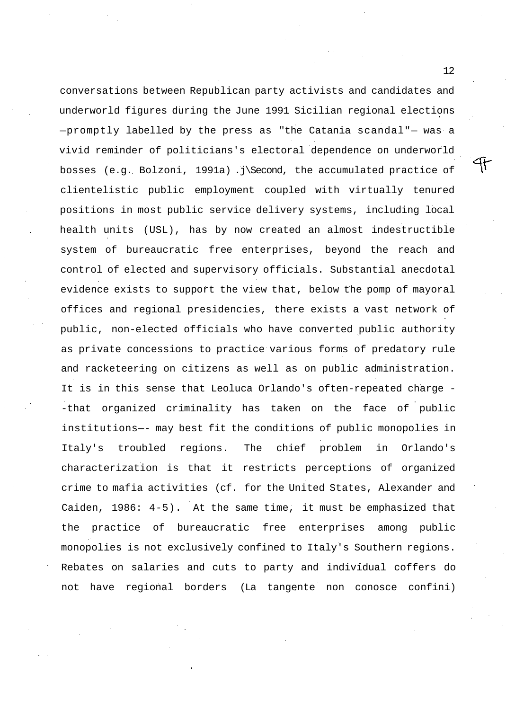conversations between Republican party activists and candidates and underworld figures during the June 1991 Sicilian regional elections —promptly labelled by the press as "the Catania scandal"— was a vivid reminder of politicians's electoral dependence on underworld bosses (e.g. Bolzoni, 1991a) .j\Second, the accumulated practice of clientelistic public employment coupled with virtually tenured positions in most public service delivery systems, including local health units (USL), has by now created an almost indestructible system of bureaucratic free enterprises, beyond the reach and control of elected and supervisory officials. Substantial anecdotal evidence exists to support the view that, below the pomp of mayoral offices and regional presidencies, there exists a vast network of public, non-elected officials who have converted public authority as private concessions to practice various forms of predatory rule and racketeering on citizens as well as on public administration. It is in this sense that Leoluca Orlando's often-repeated charge - -that organized criminality has taken on the face of public institutions—- may best fit the conditions of public monopolies in Italy's troubled regions. The chief problem in Orlando's characterization is that it restricts perceptions of organized crime to mafia activities (cf. for the United States, Alexander and Caiden, 1986: 4-5). At the same time, it must be emphasized that the practice of bureaucratic free enterprises among public monopolies is not exclusively confined to Italy's Southern regions. Rebates on salaries and cuts to party and individual coffers do not have regional borders (La tangente non conosce confini)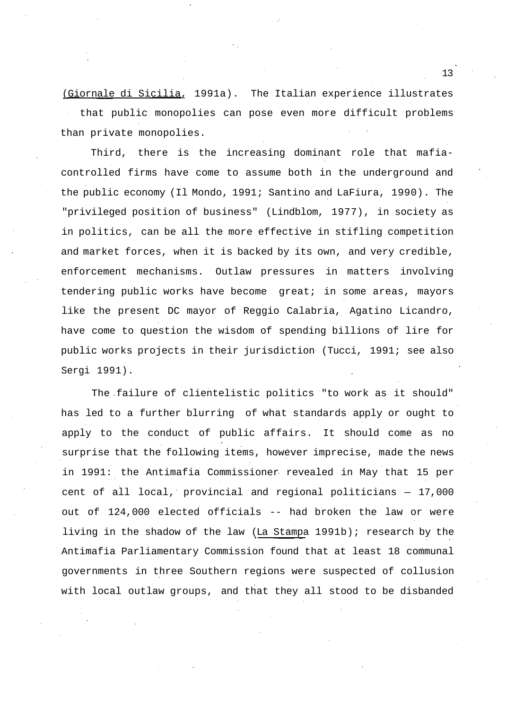(Giornale di Sicilia, 1991a). The Italian experience illustrates that public monopolies can pose even more difficult problems than private monopolies.

Third, there is the increasing dominant role that mafiacontrolled firms have come to assume both in the underground and the public economy (Il Mondo, 1991; Santino and LaFiura, 1990). The "privileged position of business" (Lindblom, 1977), in society as in politics, can be all the more effective in stifling competition and market forces, when it is backed by its own, and very credible, enforcement mechanisms. Outlaw pressures in matters involving tendering public works have become great; in some areas, mayors like the present DC mayor of Reggio Calabria, Agatino Licandro, have come to question the wisdom of spending billions of lire for public works projects in their jurisdiction (Tucci, 1991; see also Sergi 1991).

The failure of clientelistic politics "to work as it should" has led to a further blurring of what standards apply or ought to apply to the conduct of public affairs. It should come as no surprise that the following items, however imprecise, made the news in 1991: the Antimafia Commissioner revealed in May that 15 per cent of all local, provincial and regional politicians — 17,000 out of 124,000 elected officials -- had broken the law or were living in the shadow of the law (La Stampa 1991b); research by the Antimafia Parliamentary Commission found that at least 18 communal governments in three Southern regions were suspected of collusion with local outlaw groups, and that they all stood to be disbanded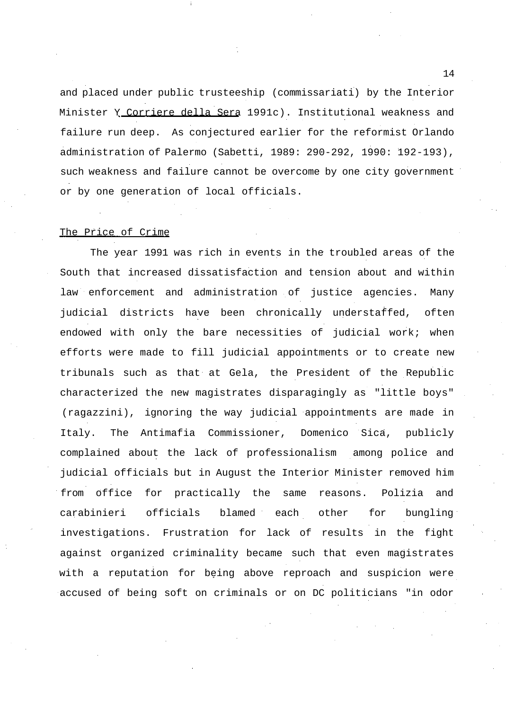and placed under public trusteeship (commissariati) by the Interior Minister Y Corriere della Sera 1991c). Institutional weakness and failure run deep. As conjectured earlier for the reformist Orlando administration of Palermo (Sabetti, 1989: 290-292, 1990: 192-193), such weakness and failure cannot be overcome by one city government or by one generation of local officials.

#### The Price of Crime

The year 1991 was rich in events in the troubled areas of the South that increased dissatisfaction and tension about and within law enforcement and administration of justice agencies. Many judicial districts have been chronically understaffed, often endowed with only the bare necessities of judicial work; when efforts were made to fill judicial appointments or to create new tribunals such as that at Gela, the President of the Republic characterized the new magistrates disparagingly as "little boys" (ragazzini), ignoring the way judicial appointments are made in Italy. The Antimafia Commissioner, Domenico Sica, publicly complained about the lack of professionalism among police and judicial officials but in August the Interior Minister removed him from office for practically the same reasons. Polizia and carabinieri officials blamed each other for bungling investigations. Frustration for lack of results in the fight against organized criminality became such that even magistrates with a reputation for being above reproach and suspicion were accused of being soft on criminals or on DC politicians "in odor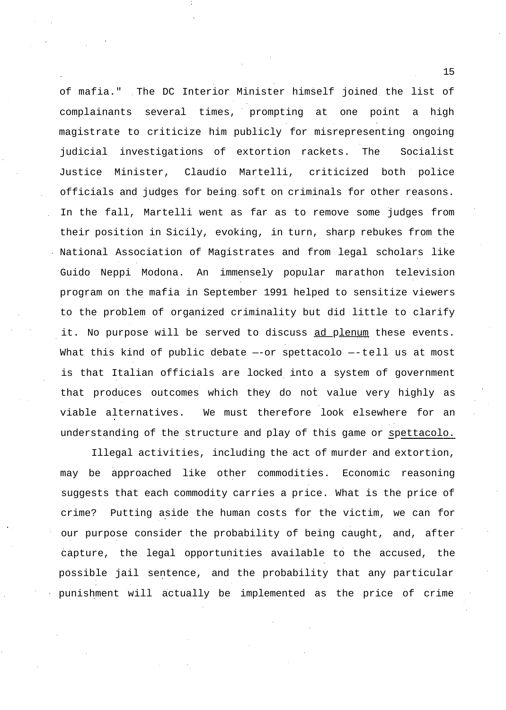of mafia." The DC Interior Minister himself joined the list of complainants several times, prompting at one point a high magistrate to criticize him publicly for misrepresenting ongoing judicial investigations of extortion rackets. The Socialist Justice Minister, Claudio Martelli, criticized both police officials and judges for being soft on criminals for other reasons. In the fall, Martelli went as far as to remove some judges from their position in Sicily, evoking, in turn, sharp rebukes from the National Association of Magistrates and from legal scholars like Guido Neppi Modona. An immensely popular marathon television program on the mafia in September 1991 helped to sensitize viewers to the problem of organized criminality but did little to clarify it. No purpose will be served to discuss ad plenum these events. What this kind of public debate --or spettacolo --tell us at most is that Italian officials are locked into a system of government that produces outcomes which they do not value very highly as viable alternatives. We must therefore look elsewhere for an understanding of the structure and play of this game or spettacolo.

Illegal activities, including the act of murder and extortion, may be approached like other commodities. Economic reasoning suggests that each commodity carries a price. What is the price of crime? Putting aside the human costs for the victim, we can for our purpose consider the probability of being caught, and, after capture, the legal opportunities available to the accused, the possible jail sentence, and the probability that any particular punishment will actually be implemented as the price of crime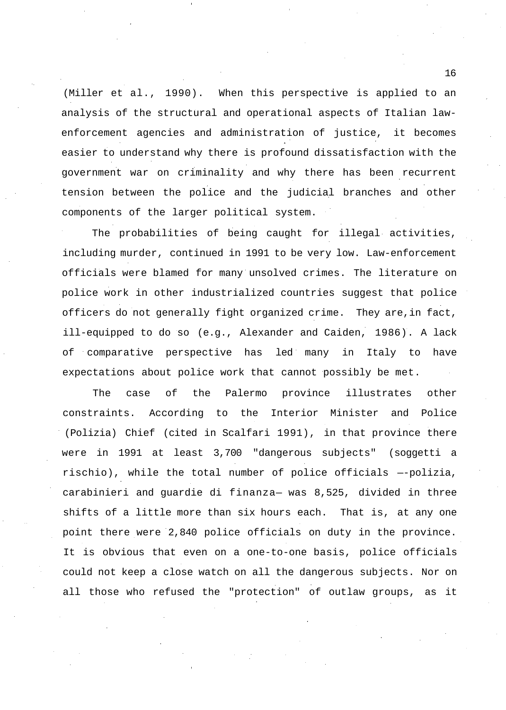(Miller et al., 1990). When this perspective is applied to an analysis of the structural and operational aspects of Italian lawenforcement agencies and administration of justice, it becomes easier to understand why there is profound dissatisfaction with the government war on criminality and why there has been recurrent tension between the police and the judicial branches and other components of the larger political system.

The probabilities of being caught for illegal activities, including murder, continued in 1991 to be very low. Law-enforcement officials were blamed for many unsolved crimes. The literature on police work in other industrialized countries suggest that police officers do not generally fight organized crime. They are,in fact, ill-equipped to do so (e.g., Alexander and Caiden, 1986). A lack of comparative perspective has led many in Italy to have expectations about police work that cannot possibly be met.

The case of the Palermo province illustrates other constraints. According to the Interior Minister and Police (Polizia) Chief (cited in Scalfari 1991), in that province there were in 1991 at least 3,700 "dangerous subjects" (soggetti a rischio), while the total number of police officials —-polizia, carabinieri and guardie di finanza— was 8,525, divided in three shifts of a little more than six hours each. That is, at any one point there were 2,840 police officials on duty in the province. It is obvious that even on a one-to-one basis, police officials could not keep a close watch on all the dangerous subjects. Nor on all those who refused the "protection" of outlaw groups, as it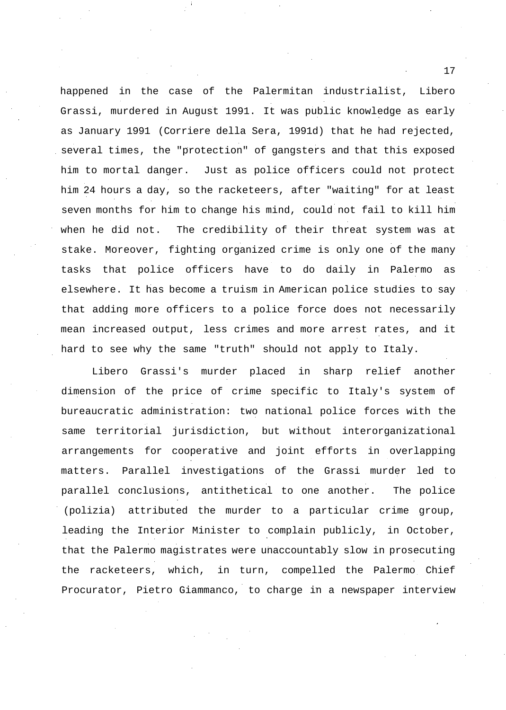happened in the case of the Palermitan industrialist, Libero Grassi, murdered in August 1991. It was public knowledge as early as January 1991 (Corriere della Sera, 1991d) that he had rejected, several times, the "protection" of gangsters and that this exposed him to mortal danger. Just as police officers could not protect him 24 hours a day, so the racketeers, after "waiting" for at least seven months for him to change his mind, could not fail to kill him when he did not. The credibility of their threat system was at stake. Moreover, fighting organized crime is only one of the many tasks that police officers have to do daily in Palermo as elsewhere. It has become a truism in American police studies to say that adding more officers to a police force does not necessarily mean increased output, less crimes and more arrest rates, and it hard to see why the same "truth" should not apply to Italy.

Libero Grassi's murder placed in sharp relief another dimension of the price of crime specific to Italy's system of bureaucratic administration: two national police forces with the same territorial jurisdiction, but without interorganizational arrangements for cooperative and joint efforts in overlapping matters. Parallel investigations of the Grassi murder led to parallel conclusions, antithetical to one another. The police (polizia) attributed the murder to a particular crime group, leading the Interior Minister to complain publicly, in October, that the Palermo magistrates were unaccountably slow in prosecuting the racketeers, which, in turn, compelled the Palermo Chief Procurator, Pietro Giammanco, to charge in a newspaper interview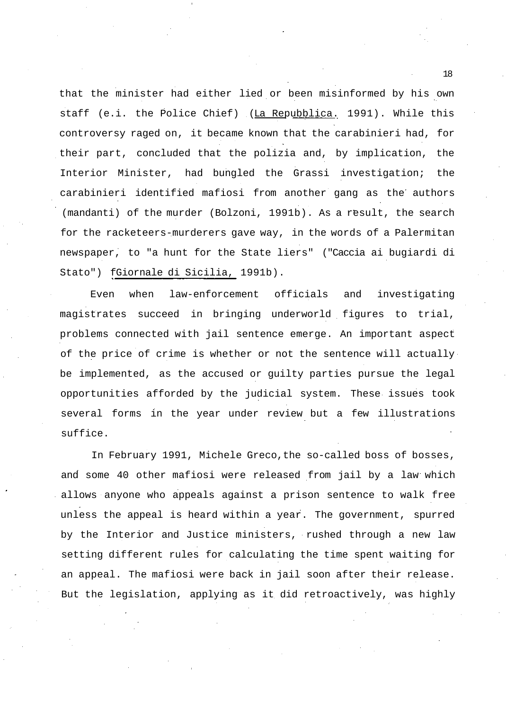that the minister had either lied or been misinformed by his own staff (e.i. the Police Chief) (La Repubblica. 1991). While this controversy raged on, it became known that the carabinieri had, for their part, concluded that the polizia and, by implication, the Interior Minister, had bungled the Grassi investigation; the carabinieri identified mafiosi from another gang as the authors (mandanti) of the murder (Bolzoni, 1991b). As a result, the search for the racketeers-murderers gave way, in the words of a Palermitan newspaper, to "a hunt for the State liers" ("Caccia ai bugiardi di Stato") fGiornale di Sicilia, 1991b).

Even when law-enforcement officials and investigating magistrates succeed in bringing underworld figures to trial, problems connected with jail sentence emerge. An important aspect of the price of crime is whether or not the sentence will actually be implemented, as the accused or guilty parties pursue the legal opportunities afforded by the judicial system. These issues took several forms in the year under review but a few illustrations suffice.

In February 1991, Michele Greco,the so-called boss of bosses, and some 40 other mafiosi were released from jail by a law which allows anyone who appeals against a prison sentence to walk free unless the appeal is heard within a year. The government, spurred by the Interior and Justice ministers, rushed through a new law setting different rules for calculating the time spent waiting for an appeal. The mafiosi were back in jail soon after their release. But the legislation, applying as it did retroactively, was highly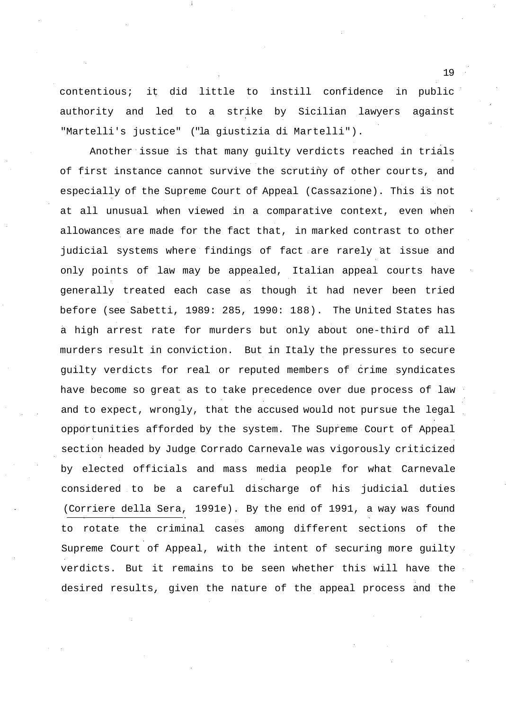contentious; it did little to instill confidence in public authority and led to a strike by Sicilian lawyers against "Martelli's justice" ("la giustizia di Martelli").

Another issue is that many guilty verdicts reached in trials of first instance cannot survive the scrutiny of other courts, and especially of the Supreme Court of Appeal (Cassazione). This is not at all unusual when viewed in a comparative context, even when allowances are made for the fact that, in marked contrast to other judicial systems where findings of fact are rarely at issue and only points of law may be appealed, Italian appeal courts have generally treated each case as though it had never been tried before (see Sabetti, 1989: 285, 1990: 188). The United States has a high arrest rate for murders but only about one-third of all murders result in conviction. But in Italy the pressures to secure guilty verdicts for real or reputed members of crime syndicates have become so great as to take precedence over due process of law and to expect, wrongly, that the accused would not pursue the legal opportunities afforded by the system. The Supreme Court of Appeal section headed by Judge Corrado Carnevale was vigorously criticized by elected officials and mass media people for what Carnevale considered to be a careful discharge of his judicial duties (Corriere della Sera, 1991e). By the end of 1991, a way was found to rotate the criminal cases among different sections of the Supreme Court of Appeal, with the intent of securing more guilty verdicts. But it remains to be seen whether this will have the desired results, given the nature of the appeal process and the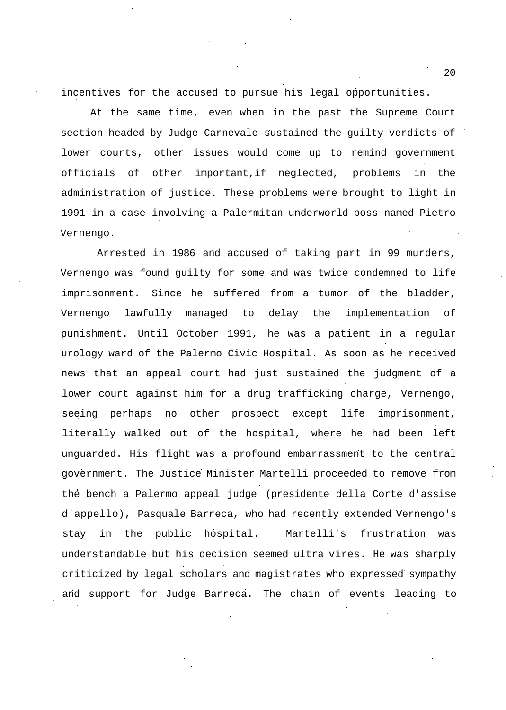incentives for the accused to pursue his legal opportunities.

At the same time, even when in the past the Supreme Court section headed by Judge Carnevale sustained the guilty verdicts of lower courts, other issues would come up to remind government officials of other important,if neglected, problems in the administration of justice. These problems were brought to light in 1991 in a case involving a Palermitan underworld boss named Pietro Vernengo.

Arrested in 1986 and accused of taking part in 99 murders, Vernengo was found guilty for some and was twice condemned to life imprisonment. Since he suffered from a tumor of the bladder, Vernengo lawfully managed to delay the implementation of punishment. Until October 1991, he was a patient in a regular urology ward of the Palermo Civic Hospital. As soon as he received news that an appeal court had just sustained the judgment of a lower court against him for a drug trafficking charge, Vernengo, seeing perhaps no other prospect except life imprisonment, literally walked out of the hospital, where he had been left unguarded. His flight was a profound embarrassment to the central government. The Justice Minister Martelli proceeded to remove from the bench a Palermo appeal judge (presidente della Corte d'assise d'appello), Pasquale Barreca, who had recently extended Vernengo's stay in the public hospital. Martelli's frustration was understandable but his decision seemed ultra vires. He was sharply criticized by legal scholars and magistrates who expressed sympathy and support for Judge Barreca. The chain of events leading to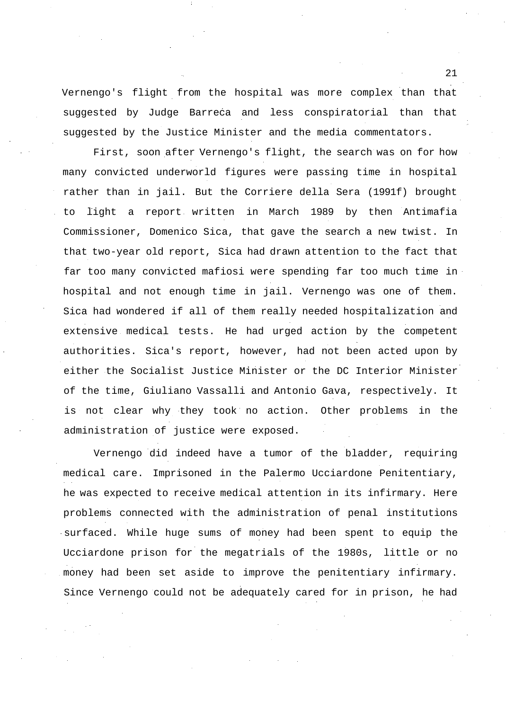Vernengo's flight from the hospital was more complex than that suggested by Judge Barreca and less conspiratorial than that suggested by the Justice Minister and the media commentators.

First, soon after Vernengo's flight, the search was on for how many convicted underworld figures were passing time in hospital rather than in jail. But the Corriere della Sera (1991f) brought light a report written in March 1989 by then Antimafia Commissioner, Domenico Sica, that gave the search a new twist. In that two-year old report, Sica had drawn attention to the fact that far too many convicted mafiosi were spending far too much time in hospital and not enough time in jail. Vernengo was one of them. Sica had wondered if all of them really needed hospitalization and extensive medical tests. He had urged action by the competent authorities. Sica's report, however, had not been acted upon by either the Socialist Justice Minister or the DC Interior Minister of the time, Giuliano Vassalli and Antonio Gava, respectively. It is not clear why they took no action. Other problems in the administration of justice were exposed.

Vernengo did indeed have a tumor of the bladder, requiring medical care. Imprisoned in the Palermo Ucciardone Penitentiary, he was expected to receive medical attention in its infirmary. Here problems connected with the administration of penal institutions surfaced. While huge sums of money had been spent to equip the Ucciardone prison for the megatrials of the 1980s, little or no money had been set aside to improve the penitentiary infirmary. Since Vernengo could not be adequately cared for in prison, he had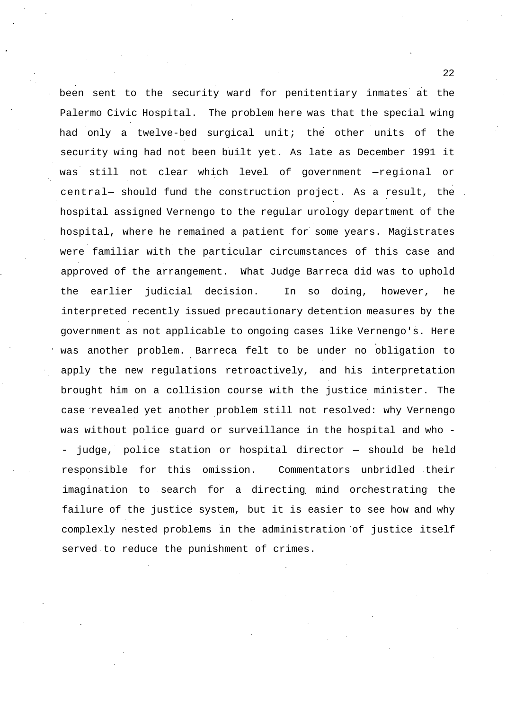been sent to the security ward for penitentiary inmates at the Palermo Civic Hospital. The problem here was that the special wing had only a twelve-bed surgical unit; the other units of the security wing had not been built yet. As late as December 1991 it was still not clear which level of government —regional or central— should fund the construction project. As a result, the hospital assigned Vernengo to the regular urology department of the hospital, where he remained a patient for some years. Magistrates were familiar with the particular circumstances of this case and approved of the arrangement. What Judge Barreca did was to uphold the earlier judicial decision. In so doing, however, he interpreted recently issued precautionary detention measures by the government as not applicable to ongoing cases like Vernengo's. Here was another problem. Barreca felt to be under no obligation to apply the new regulations retroactively, and his interpretation brought him on a collision course with the justice minister. The case revealed yet another problem still not resolved: why Vernengo was without police guard or surveillance in the hospital and who - - judge, police station or hospital director — should be held responsible for this omission. Commentators unbridled their imagination to search for a directing mind orchestrating the failure of the justice system, but it is easier to see how and why complexly nested problems in the administration of justice itself served to reduce the punishment of crimes.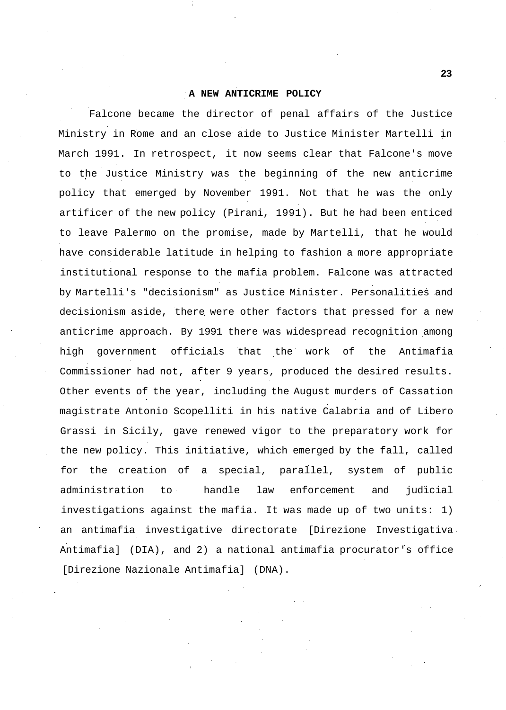### **A NEW ANTICRIME POLICY**

Falcone became the director of penal affairs of the Justice Ministry in Rome and an close aide to Justice Minister Martelli in March 1991. In retrospect, it now seems clear that Falcone's move to the Justice Ministry was the beginning of the new anticrime policy that emerged by November 1991. Not that he was the only artificer of the new policy (Pirani, 1991). But he had been enticed to leave Palermo on the promise, made by Martelli, that he would have considerable latitude in helping to fashion a more appropriate institutional response to the mafia problem. Falcone was attracted by Martelli's "decisionism" as Justice Minister. Personalities and decisionism aside, there were other factors that pressed for a new anticrime approach. By 1991 there was widespread recognition among high government officials that the work of the Antimafia Commissioner had not, after 9 years, produced the desired results. Other events of the year, including the August murders of Cassation magistrate Antonio Scopelliti in his native Calabria and of Libero Grassi in Sicily, gave renewed vigor to the preparatory work for the new policy. This initiative, which emerged by the fall, called for the creation of a special, parallel, system of public administration to handle law enforcement and judicial investigations against the mafia. It was made up of two units: 1) an antimafia investigative directorate [Direzione Investigativa Antimafia] (DIA), and 2) a national antimafia procurator's office [Direzione Nazionale Antimafia] (DNA).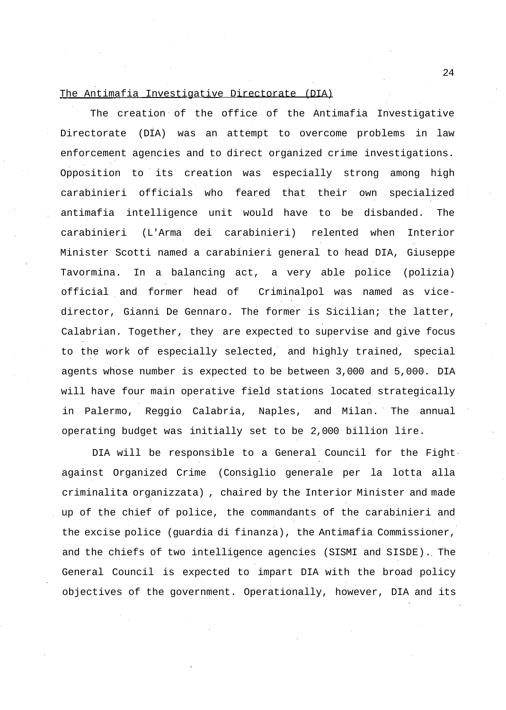# The Antimafia Investigative Directorate (DIA)

The creation of the office of the Antimafia Investigative Directorate (DIA) was an attempt to overcome problems in law enforcement agencies and to direct organized crime investigations. Opposition to its creation was especially strong among high carabinieri officials who feared that their own specialized antimafia intelligence unit would have to be disbanded. The carabinieri (L'Arma dei carabinieri) relented when Interior Minister Scotti named a carabinieri general to head DIA, Giuseppe Tavormina. In a balancing act, a very able police (polizia) official and former head of Criminalpol was named as vicedirector, Gianni De Gennaro. The former is Sicilian; the latter, Calabrian. Together, they are expected to supervise and give focus to the work of especially selected, and highly trained, special agents whose number is expected to be between 3,000 and 5,000. DIA will have four main operative field stations located strategically in Palermo, Reggio Calabria, Naples, and Milan. The annual operating budget was initially set to be 2,000 billion lire.

DIA will be responsible to a General Council for the Fight against Organized Crime (Consiglio generale per la lotta alla criminalita organizzata) , chaired by the Interior Minister and made up of the chief of police, the commandants of the carabinieri and the excise police (guardia di finanza), the Antimafia Commissioner, and the chiefs of two intelligence agencies (SISMI and SISDE). The General Council is expected to impart DIA with the broad policy objectives of the government. Operationally, however, DIA and its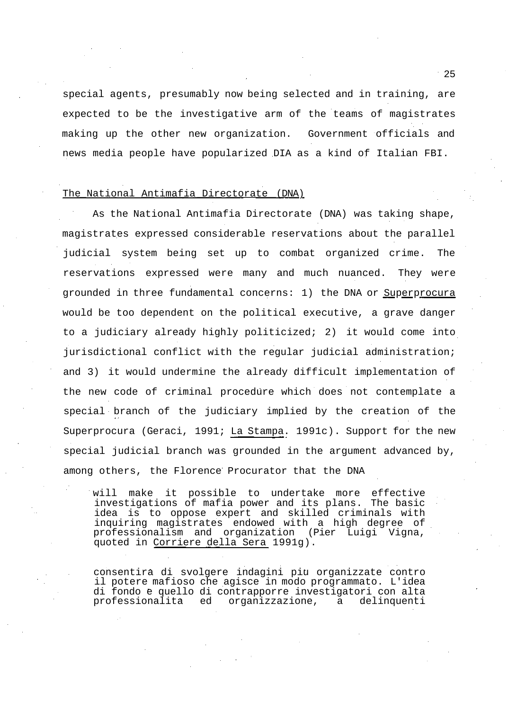special agents, presumably now being selected and in training, are expected to be the investigative arm of the teams of magistrates making up the other new organization. Government officials and news media people have popularized DIA as a kind of Italian FBI.

## The National Antimafia Directorate (DNA)

As the National Antimafia Directorate (DNA) was taking shape, magistrates expressed considerable reservations about the parallel judicial system being set up to combat organized crime. The reservations expressed were many and much nuanced. They were grounded in three fundamental concerns: 1) the DNA or Superprocura would be too dependent on the political executive, a grave danger to a judiciary already highly politicized; 2) it would come into jurisdictional conflict with the regular judicial administration; and 3) it would undermine the already difficult implementation of the new code of criminal procedure which does not contemplate a special branch of the judiciary implied by the creation of the Superprocura (Geraci, 1991; La Stampa. 1991c). Support for the new special judicial branch was grounded in the argument advanced by, among others, the Florence Procurator that the DNA

will make it possible to undertake more effective investigations of mafia power and its plans. The basic idea is to oppose expert and skilled criminals with inquiring magistrates endowed with a high degree of professionalism and organization (Pier Luigi Vigna, quoted in Corriere della Sera 1991g).

consentira di svolgere indagini piu organizzate contro il potere mafioso che agisce in modo programmato. L'idea di fondo è quello di contrapporre investigatori con alta<br>professionalità ed organizzazione, a delinguenti organizzazione, a delinquenti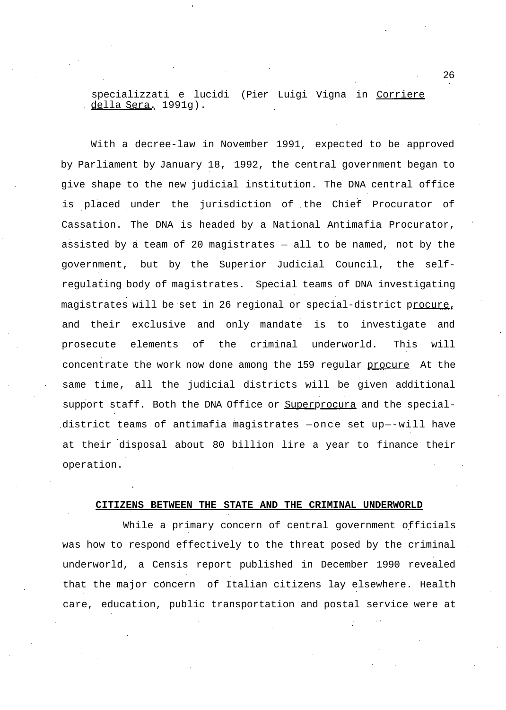specializzati e lucidi (Pier Luigi Vigna in Corriere della Sera. 1991g).

With a decree-law in November 1991, expected to be approved by Parliament by January 18, 1992, the central government began to give shape to the new judicial institution. The DNA central office is placed under the jurisdiction of the Chief Procurator of Cassation. The DNA is headed by a National Antimafia Procurator, assisted by a team of 20 magistrates — all to be named, not by the government, but by the Superior Judicial Council, the selfregulating body of magistrates. Special teams of DNA investigating magistrates will be set in 26 regional or special-district procure, and their exclusive and only mandate is to investigate and prosecute elements of the criminal underworld. This will concentrate the work now done among the 159 regular procure At the same time, all the judicial districts will be given additional support staff. Both the DNA Office or Superprocura and the specialdistrict teams of antimafia magistrates —once set up—-will have at their disposal about 80 billion lire a year to finance their operation.

#### **CITIZENS BETWEEN THE STATE AND THE CRIMINAL UNDERWORLD**

While a primary concern of central government officials was how to respond effectively to the threat posed by the criminal underworld, a Censis report published in December 1990 revealed that the major concern of Italian citizens lay elsewhere. Health care, education, public transportation and postal service were at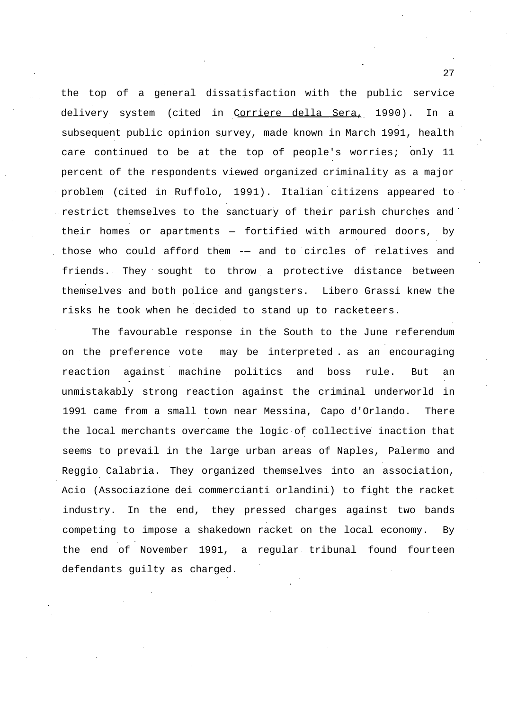the top of a general dissatisfaction with the public service delivery system (cited in Corriere della Sera, 1990). In a subsequent public opinion survey, made known in March 1991, health care continued to be at the top of people's worries; only 11 percent of the respondents viewed organized criminality as a major problem (cited in Ruffolo, 1991). Italian citizens appeared to restrict themselves to the sanctuary of their parish churches and their homes or apartments — fortified with armoured doors, by those who could afford them -— and to circles of relatives and friends. They sought to throw a protective distance between themselves and both police and gangsters. Libero Grassi knew the risks he took when he decided to stand up to racketeers.

The favourable response in the South to the June referendum on the preference vote may be interpreted . as an encouraging reaction against machine politics and boss rule. But an unmistakably strong reaction against the criminal underworld in 1991 came from a small town near Messina, Capo d'Orlando. There the local merchants overcame the logic of collective inaction that seems to prevail in the large urban areas of Naples, Palermo and Reggio Calabria. They organized themselves into an association, Acio (Associazione dei commercianti orlandini) to fight the racket industry. In the end, they pressed charges against two bands competing to impose a shakedown racket on the local economy. By the end of November 1991, a regular tribunal found fourteen defendants guilty as charged.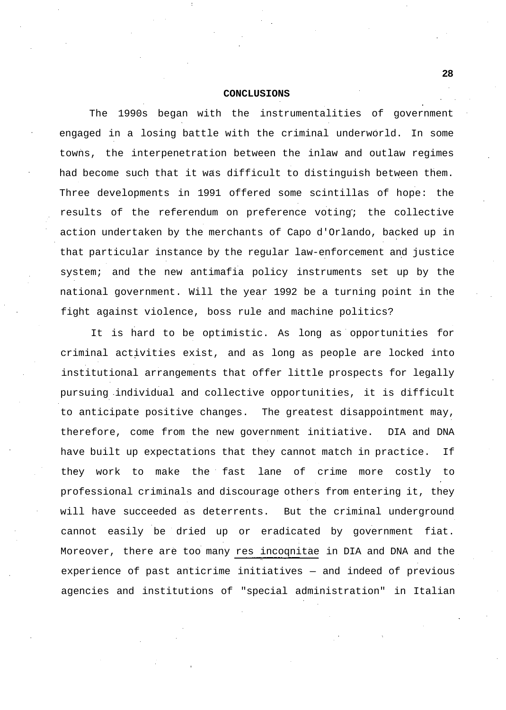### **CONCLUSIONS**

The 1990s began with the instrumentalities of government engaged in a losing battle with the criminal underworld. In some towns, the interpenetration between the inlaw and outlaw regimes had become such that it was difficult to distinguish between them. Three developments in 1991 offered some scintillas of hope: the results of the referendum on preference voting; the collective action undertaken by the merchants of Capo d'Orlando, backed up in that particular instance by the regular law-enforcement and justice system; and the new antimafia policy instruments set up by the national government. Will the year 1992 be a turning point in the fight against violence, boss rule and machine politics?

It is hard to be optimistic. As long as opportunities for criminal activities exist, and as long as people are locked into institutional arrangements that offer little prospects for legally pursuing individual and collective opportunities, it is difficult to anticipate positive changes. The greatest disappointment may, therefore, come from the new government initiative. DIA and DNA have built up expectations that they cannot match in practice. If they work to make the fast lane of crime more costly to professional criminals and discourage others from entering it, they will have succeeded as deterrents. But the criminal underground cannot easily be dried up or eradicated by government fiat. Moreover, there are too many res incoqnitae in DIA and DNA and the experience of past anticrime initiatives — and indeed of previous agencies and institutions of "special administration" in Italian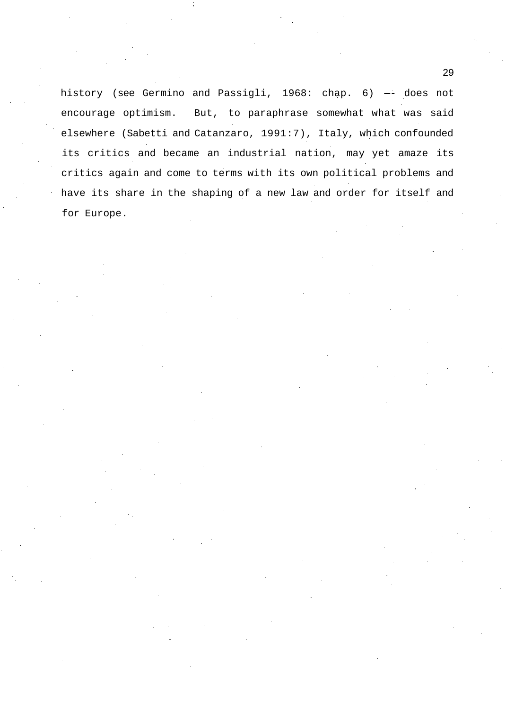history (see Germino and Passigli, 1968: chap. 6) —- does not encourage optimism. But, to paraphrase somewhat what was said elsewhere (Sabetti and Catanzaro, 1991:7), Italy, which confounded its critics and became an industrial nation, may yet amaze its critics again and come to terms with its own political problems and have its share in the shaping of a new law and order for itself and for Europe.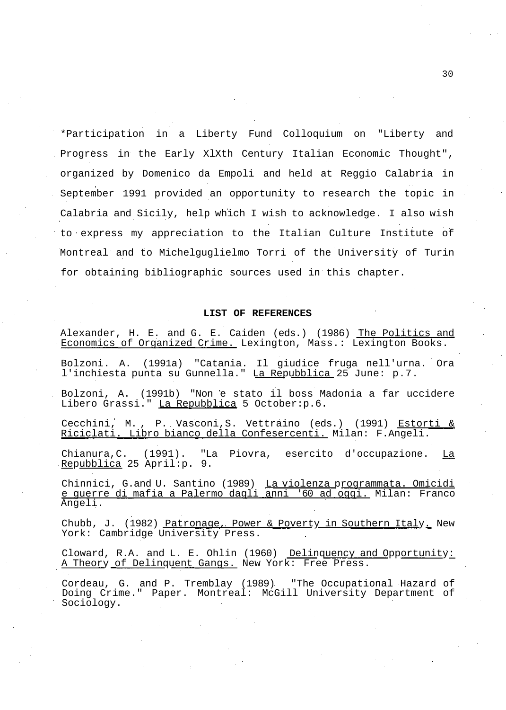\*Participation in a Liberty Fund Colloquium on "Liberty and Progress in the Early XlXth Century Italian Economic Thought", organized by Domenico da Empoli and held at Reggio Calabria in September 1991 provided an opportunity to research the topic in Calabria and Sicily, help which I wish to acknowledge. I also wish to express my appreciation to the Italian Culture Institute of Montreal and to Michelguglielmo Torri of the University of Turin for obtaining bibliographic sources used in this chapter.

### **LIST OF REFERENCES**

Alexander, H. E. and G. E. Caiden (eds.) (1986) The Politics and Economics of Organized Crime. Lexington, Mass.: Lexington Books.

Bolzoni. A. (1991a) "Catania. Il giudice fruga nell'urna. Ora l'inchiesta punta su Gunnella." La Repubblica 25 June: p.7.

Bolzoni, A. (1991b) "Non e stato il boss Madonia a far uccidere Libero Grassi." La Repubblica 5 October: p.6.

Cecchini, M., P. Vasconi, S. Vettraino (eds.) (1991) Estorti & Riciclati. Libro bianco della Confesercenti. Milan: F.Angeli.

Chianura,C. (1991). "La Piovra, esercito d'occupazione. La Repubblica 25 April:p. 9.

Chinnici, G.and U. Santino (1989) La violenza programmata. Omicidi e guerre di mafia a Palermo dagli anni '60 ad oggi. Milan: Franco Angeli.

Chubb, J. (1982) Patronage, Power & Poverty in Southern Italy. New York: Cambridge University Press.

Cloward, R.A. and L. E. Ohlin (1960) Delinquency and Opportunity: A Theory of Delinquent Gangs. New York: Free Press.

Cordeau, G. and P. Tremblay (1989) "The Occupational Hazard of Doing Crime." Paper. Montreal: McGill University Department of Sociology.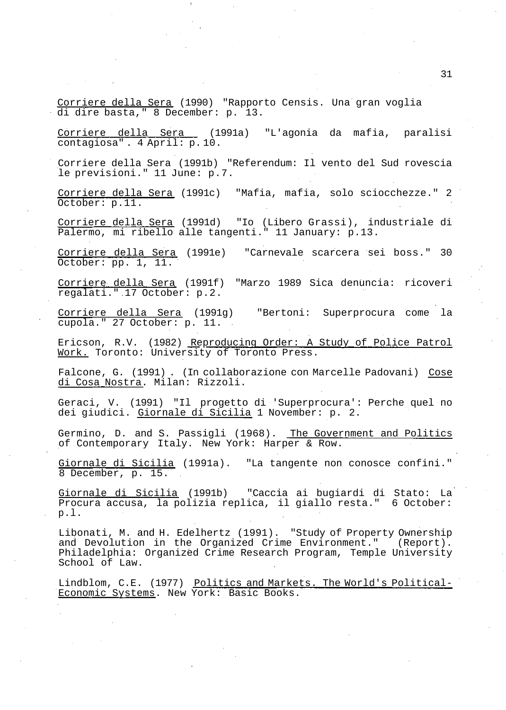Corriere della Sera (1990) "Rapporto Censis. Una gran voglia di dire basta," 8 December: p. 13.

Corriere della Sera (1991a) "L'agonia da mafia, paralisi contagiosa" . 4 April: p. 10.

Corriere della Sera (1991b) "Referendum: Il vento del Sud rovescia le previsioni." 11 June: p.7.

Corriere della Sera (1991c) "Mafia, mafia, solo sciocchezze." 2 October: p.11.

Corriere della Sera (1991d) "Io (Libero Grassi), industriale di Palermo, mi ribello alle tangenti." 11 January: p.13.

Corriere della Sera (1991e) "Carnevale scarcera sei boss." 30 October: pp. 1, 11.

Corriere della Sera (1991f) "Marzo 1989 Sica denuncia: ricoveri regalati." 17 October: p.2.

Corriere della Sera (1991g) "Bertoni: Superprocura come la cupola." 27 October: p. 11.

Ericson, R.V. (1982) Reproducing Order: A Study of Police Patrol Mork. Toronto: University of Toronto Press.

Falcone, G. (1991) . (In collaborazione con Marcelle Padovani) Cose di Cosa Nostra. Milan: Rizzoli.

Geraci, V. (1991) "Il progetto di 'Superprocura': Perche quel no dei giudici. Giornale di Sicilia 1 November: p. 2.

Germino, D. and S. Passigli (1968). The Government and Politics of Contemporary Italy. New York: Harper & Row.

Giornale di Sicilia (1991a). "La tangente non conosce confini." 8 December, p. 15.

Giornale di Sicilia (1991b) "Caccia ai bugiardi di Stato: La Procura accusa, la polizia replica, il giallo resta." 6 October: p.l.

Libonati, M. and H. Edelhertz (1991). "Study of Property Ownership and Devolution in the Organized Crime Environment." (Report). Philadelphia: Organized Crime Research Program, Temple University School of Law.

Lindblom, C.E. (1977) Politics and Markets. The World's Political-Economic Systems. New York: Basic Books.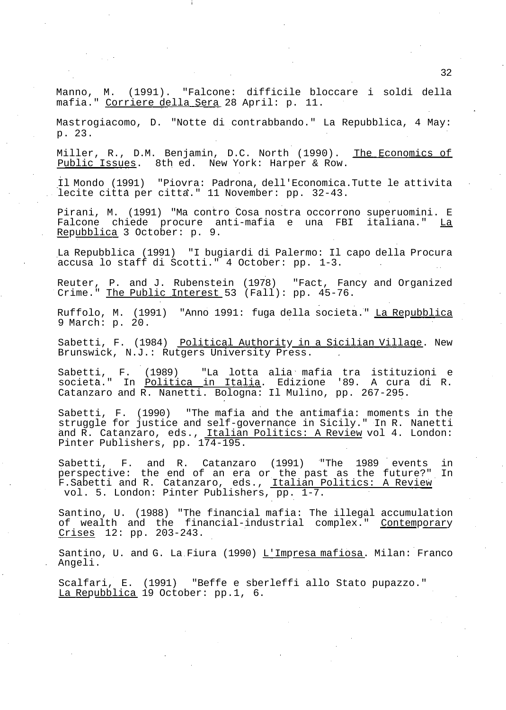Manno, M. (1991). "Falcone: difficile bloccare i soldi della mafia." Corriere della Sera 28 April: p. 11.

Mastrogiacomo, D. "Notte di contrabbando." La Repubblica, 4 May: p. 23.

Miller, R., D.M. Benjamin, D.C. North (1990). The Economics of Public Issues. 8th ed. New York: Harper & Row.

Il Mondo (1991) "Piovra: Padrona, dell'Economica.Tutte le attivita lecite città per citta." 11 November: pp. 32-43.

Pirani, M. (1991) "Ma contro Cosa nostra occorrono superuomini. E Falcone chiede procure anti-mafia e una FBI italiana." La Repubblica 3 October: p. 9.

La Repubblica (1991) "I bugiardi di Palermo: Il capo della Procura accusa lo staff di Scotti." 4 October: pp. 1-3.

Reuter, P. and J. Rubenstein (1978) "Fact, Fancy and Organized Crime." The Public Interest 53 (Fall): pp. 45-76.

Ruffolo, M. (1991) "Anno 1991: fuga della societa." La Repubblica 9 March: p. 20.

Sabetti, F. (1984) Political Authority in a Sicilian Village. New Brunswick, N.J.: Rutgers University Press.

Sabetti, F. (1989) "La lotta alia mafia tra istituzioni e società." In <u>Politica in Italia</u>. Edizione '89. A cura di R. Catanzaro and R. Nanetti. Bologna: Il Mulino, pp. 267-295.

Sabetti, F. (1990) "The mafia and the antimafia: moments in the struggle for justice and self-governance in Sicily." In R. Nanetti and R. Catanzaro, eds., Italian Politics: A Review vol 4. London: Pinter Publishers, pp. 174-195.

Sabetti, F. and R. Catanzaro (1991) "The 1989 events in perspective: the end of an era or the past as the future?" In F. Sabetti and R. Catanzaro, eds., Italian Politics: A Review vol. 5. London: Pinter Publishers, pp. 1-7.

Santino, U. (1988) "The financial mafia: The illegal accumulation of wealth and the financial-industrial complex." Contemporary Crises 12: pp. 203-243.

Santino, U. and G. La Fiura (1990) L'Impresa mafiosa. Milan: Franco Angeli.

Scalfari, E. (1991) "Beffe e sberleffi allo Stato pupazzo." La Repubblica 19 October: pp.1, 6.